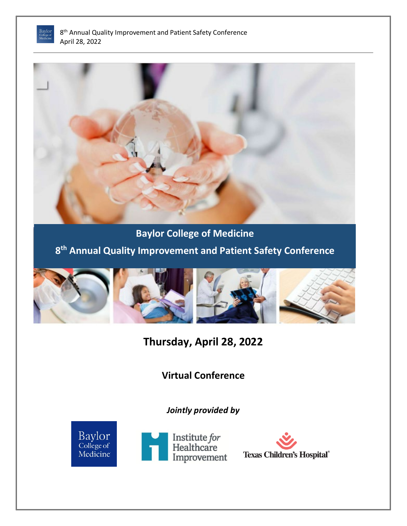



**Baylor College of Medicine**

**8th Annual Quality Improvement and Patient Safety Conference**



**Thursday, April 28, 2022**

**Virtual Conference**

*Jointly provided by* 



Institute for<br>Healthcare Improvement

**Texas Children's Hospital®**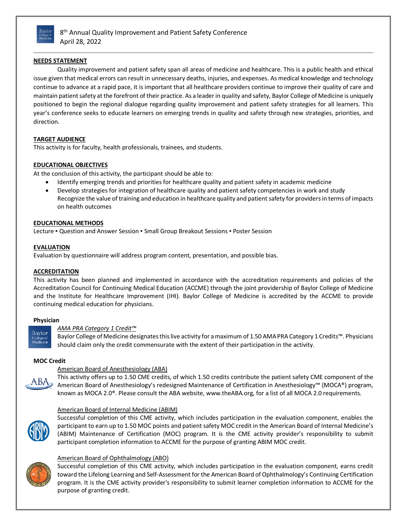

8<sup>th</sup> Annual Quality Improvement and Patient Safety Conference April 28, 2022

# **NEEDS STATEMENT**

Quality improvement and patient safety span all areas of medicine and healthcare. This is a public health and ethical issue given that medical errors can result in unnecessary deaths, injuries, and expenses. As medical knowledge and technology continue to advance at a rapid pace, it is important that all healthcare providers continue to improve their quality of care and maintain patient safety at the forefront of their practice. As a leader in quality and safety, Baylor College of Medicine is uniquely positioned to begin the regional dialogue regarding quality improvement and patient safety strategies for all learners. This year's conference seeks to educate learners on emerging trends in quality and safety through new strategies, priorities, and direction.

## **TARGET AUDIENCE**

This activity is for faculty, health professionals, trainees, and students.

## **EDUCATIONAL OBJECTIVES**

At the conclusion of this activity, the participant should be able to:

- Identify emerging trends and priorities for healthcare quality and patient safety in academic medicine
- Develop strategies for integration of healthcare quality and patient safety competencies in work and study Recognize the value of training and education in healthcare quality and patient safety for providers in terms of impacts on health outcomes

## **EDUCATIONAL METHODS**

Lecture • Question and Answer Session • Small Group Breakout Sessions • Poster Session

## **EVALUATION**

Evaluation by questionnaire will address program content, presentation, and possible bias.

## **ACCREDITATION**

This activity has been planned and implemented in accordance with the accreditation requirements and policies of the Accreditation Council for Continuing Medical Education (ACCME) through the joint providership of Baylor College of Medicine and the Institute for Healthcare Improvement (IHI). Baylor College of Medicine is accredited by the ACCME to provide continuing medical education for physicians.

## **Physician**



A B A

## *AMA PRA Category 1 Credit™*

Baylor College of Medicine designates this live activity for a maximum of 1.50 AMA PRA Category 1 Credits™. Physicians should claim only the credit commensurate with the extent of their participation in the activity.

## **MOC Credit**

# American Board of Anesthesiology (ABA)

This activity offers up to 1.50 CME credits, of which 1.50 credits contribute the patient safety CME component of the American Board of Anesthesiology's redesigned Maintenance of Certification in Anesthesiology™ (MOCA®) program, known as MOCA 2.0®. Please consult the ABA website, www.theABA.org, for a list of all MOCA 2.0 requirements.

## American Board of Internal Medicine (ABIM)



Successful completion of this CME activity, which includes participation in the evaluation component, enables the participant to earn up to 1.50 MOC points and patient safety MOC credit in the American Board of Internal Medicine's (ABIM) Maintenance of Certification (MOC) program. It is the CME activity provider's responsibility to submit participant completion information to ACCME for the purpose of granting ABIM MOC credit.



## American Board of Ophthalmology (ABO)

Successful completion of this CME activity, which includes participation in the evaluation component, earns credit toward the Lifelong Learning and Self-Assessment for the American Board of Ophthalmology's Continuing Certification program. It is the CME activity provider's responsibility to submit learner completion information to ACCME for the purpose of granting credit.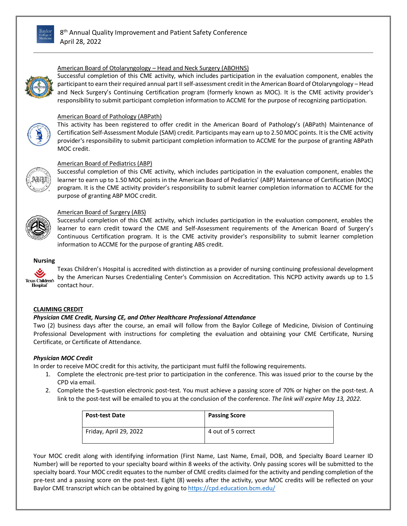



## American Board of Otolaryngology – Head and Neck Surgery (ABOHNS)

Successful completion of this CME activity, which includes participation in the evaluation component, enables the participant to earn their required annual part II self-assessment credit in the American Board of Otolaryngology – Head and Neck Surgery's Continuing Certification program (formerly known as MOC). It is the CME activity provider's responsibility to submit participant completion information to ACCME for the purpose of recognizing participation.



# American Board of Pathology (ABPath)

This activity has been registered to offer credit in the American Board of Pathology's (ABPath) Maintenance of Certification Self-Assessment Module (SAM) credit. Participants may earn up to 2.50 MOC points. It is the CME activity provider's responsibility to submit participant completion information to ACCME for the purpose of granting ABPath MOC credit.



# American Board of Pediatrics (ABP)

Successful completion of this CME activity, which includes participation in the evaluation component, enables the learner to earn up to 1.50 MOC points in the American Board of Pediatrics' (ABP) Maintenance of Certification (MOC) program. It is the CME activity provider's responsibility to submit learner completion information to ACCME for the purpose of granting ABP MOC credit.



## American Board of Surgery (ABS)

Successful completion of this CME activity, which includes participation in the evaluation component, enables the learner to earn credit toward the CME and Self-Assessment requirements of the American Board of Surgery's Continuous Certification program. It is the CME activity provider's responsibility to submit learner completion information to ACCME for the purpose of granting ABS credit.

## **Nursing**

Texas Children's Hospital is accredited with distinction as a provider of nursing continuing professional development by the American Nurses Credentialing Center's Commission on Accreditation. This NCPD activity awards up to 1.5 **Texas Children's** Hospital<sup>\*</sup> contact hour.

## **CLAIMING CREDIT**

## *Physician CME Credit, Nursing CE, and Other Healthcare Professional Attendance*

Two (2) business days after the course, an email will follow from the Baylor College of Medicine, Division of Continuing Professional Development with instructions for completing the evaluation and obtaining your CME Certificate, Nursing Certificate, or Certificate of Attendance.

## *Physician MOC Credit*

In order to receive MOC credit for this activity, the participant must fulfil the following requirements.

- 1. Complete the electronic pre-test prior to participation in the conference. This was issued prior to the course by the CPD via email.
- 2. Complete the 5-question electronic post-test. You must achieve a passing score of 70% or higher on the post-test. A link to the post-test will be emailed to you at the conclusion of the conference. *The link will expire May 13, 2022.*

| <b>Post-test Date</b>  | <b>Passing Score</b> |  |  |
|------------------------|----------------------|--|--|
| Friday, April 29, 2022 | 4 out of 5 correct   |  |  |

Your MOC credit along with identifying information (First Name, Last Name, Email, DOB, and Specialty Board Learner ID Number) will be reported to your specialty board within 8 weeks of the activity. Only passing scores will be submitted to the specialty board. Your MOC credit equates to the number of CME credits claimed for the activity and pending completion of the pre-test and a passing score on the post-test. Eight (8) weeks after the activity, your MOC credits will be reflected on your Baylor CME transcript which can be obtained by going to<https://cpd.education.bcm.edu/>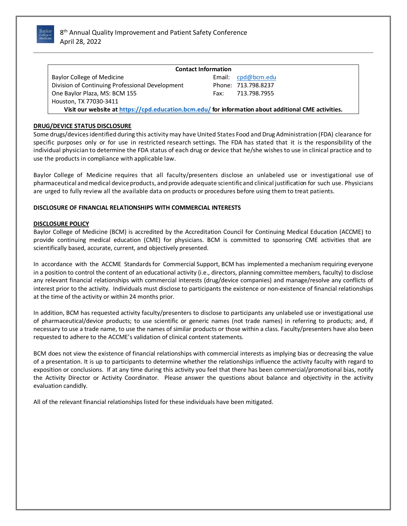

| <b>Contact Information</b>                                                                           |  |                                      |  |  |  |  |
|------------------------------------------------------------------------------------------------------|--|--------------------------------------|--|--|--|--|
| Baylor College of Medicine                                                                           |  | Email: $\text{cpd}$ $\omega$ bcm.edu |  |  |  |  |
| Division of Continuing Professional Development                                                      |  | Phone: 713.798.8237                  |  |  |  |  |
| One Baylor Plaza, MS: BCM 155                                                                        |  | Fax: 713.798.7955                    |  |  |  |  |
| Houston, TX 77030-3411                                                                               |  |                                      |  |  |  |  |
| Visit our website at https://cpd.education.bcm.edu/ for information about additional CME activities. |  |                                      |  |  |  |  |

# **DRUG/DEVICE STATUS DISCLOSURE**

Some drugs/devicesidentified during this activity may have United States Food and Drug Administration (FDA) clearance for specific purposes only or for use in restricted research settings. The FDA has stated that it is the responsibility of the individual physician to determine the FDA status of each drug or device that he/she wishes to use in clinical practice and to use the products in compliance with applicable law.

Baylor College of Medicine requires that all faculty/presenters disclose an unlabeled use or investigational use of pharmaceutical andmedical deviceproducts, andprovide adequate scientificand clinical justification for such use. Physicians are urged to fully review all the available data on products or procedures before using them to treat patients.

## **DISCLOSURE OF FINANCIAL RELATIONSHIPS WITH COMMERCIAL INTERESTS**

## **DISCLOSURE POLICY**

Baylor College of Medicine (BCM) is accredited by the Accreditation Council for Continuing Medical Education (ACCME) to provide continuing medical education (CME) for physicians. BCM is committed to sponsoring CME activities that are scientifically based, accurate, current, and objectively presented.

In accordance with the ACCME Standards for Commercial Support, BCM has implemented a mechanism requiring everyone in a position to control the content of an educational activity (i.e., directors, planning committee members, faculty) to disclose any relevant financial relationships with commercial interests (drug/device companies) and manage/resolve any conflicts of interest prior to the activity. Individuals must disclose to participants the existence or non-existence of financial relationships at the time of the activity or within 24 months prior.

In addition, BCM has requested activity faculty/presenters to disclose to participants any unlabeled use or investigational use of pharmaceutical/device products; to use scientific or generic names (not trade names) in referring to products; and, if necessary to use a trade name, to use the names of similar products or those within a class. Faculty/presenters have also been requested to adhere to the ACCME's validation of clinical content statements.

BCM does not view the existence of financial relationships with commercial interests as implying bias or decreasing the value of a presentation. It is up to participants to determine whether the relationships influence the activity faculty with regard to exposition or conclusions. If at any time during this activity you feel that there has been commercial/promotional bias, notify the Activity Director or Activity Coordinator. Please answer the questions about balance and objectivity in the activity evaluation candidly.

All of the relevant financial relationships listed for these individuals have been mitigated.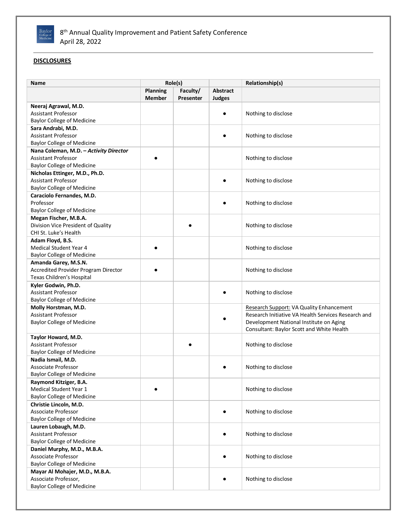

# **DISCLOSURES**

| <b>Planning</b><br>Faculty/<br>Abstract<br><b>Member</b><br>Judges<br>Presenter<br>Neeraj Agrawal, M.D.<br><b>Assistant Professor</b><br>Nothing to disclose<br><b>Baylor College of Medicine</b><br>Sara Andrabi, M.D.<br><b>Assistant Professor</b><br>Nothing to disclose<br><b>Baylor College of Medicine</b><br>Nana Coleman, M.D. - Activity Director<br><b>Assistant Professor</b><br>Nothing to disclose<br><b>Baylor College of Medicine</b><br>Nicholas Ettinger, M.D., Ph.D.<br><b>Assistant Professor</b><br>Nothing to disclose<br><b>Baylor College of Medicine</b><br>Caraciolo Fernandes, M.D.<br>Professor<br>Nothing to disclose<br><b>Baylor College of Medicine</b><br>Megan Fischer, M.B.A.<br>Division Vice President of Quality<br>Nothing to disclose<br>CHI St. Luke's Health<br>Adam Floyd, B.S.<br>Medical Student Year 4<br>Nothing to disclose<br><b>Baylor College of Medicine</b><br>Amanda Garey, M.S.N.<br><b>Accredited Provider Program Director</b><br>Nothing to disclose<br>Texas Children's Hospital<br>Kyler Godwin, Ph.D.<br><b>Assistant Professor</b><br>Nothing to disclose<br><b>Baylor College of Medicine</b><br>Molly Horstman, M.D.<br>Research Support: VA Quality Enhancement<br><b>Assistant Professor</b><br>Research Initiative VA Health Services Research and<br><b>Baylor College of Medicine</b><br>Development National Institute on Aging<br>Consultant: Baylor Scott and White Health<br>Taylor Howard, M.D.<br><b>Assistant Professor</b><br>Nothing to disclose<br><b>Baylor College of Medicine</b><br>Nadia Ismail, M.D.<br><b>Associate Professor</b><br>Nothing to disclose<br><b>Baylor College of Medicine</b><br>Raymond Kitziger, B.A.<br>Medical Student Year 1<br>Nothing to disclose<br><b>Baylor College of Medicine</b><br>Christie Lincoln, M.D.<br>Associate Professor<br>Nothing to disclose<br><b>Baylor College of Medicine</b><br>Lauren Lobaugh, M.D.<br><b>Assistant Professor</b><br>Nothing to disclose<br><b>Baylor College of Medicine</b><br>Daniel Murphy, M.D., M.B.A.<br>Associate Professor<br>Nothing to disclose<br><b>Baylor College of Medicine</b><br>Mayar Al Mohajer, M.D., M.B.A.<br>Associate Professor,<br>Nothing to disclose<br><b>Baylor College of Medicine</b> | Name | Role(s) |  | Relationship(s) |
|----------------------------------------------------------------------------------------------------------------------------------------------------------------------------------------------------------------------------------------------------------------------------------------------------------------------------------------------------------------------------------------------------------------------------------------------------------------------------------------------------------------------------------------------------------------------------------------------------------------------------------------------------------------------------------------------------------------------------------------------------------------------------------------------------------------------------------------------------------------------------------------------------------------------------------------------------------------------------------------------------------------------------------------------------------------------------------------------------------------------------------------------------------------------------------------------------------------------------------------------------------------------------------------------------------------------------------------------------------------------------------------------------------------------------------------------------------------------------------------------------------------------------------------------------------------------------------------------------------------------------------------------------------------------------------------------------------------------------------------------------------------------------------------------------------------------------------------------------------------------------------------------------------------------------------------------------------------------------------------------------------------------------------------------------------------------------------------------------------------------------------------------------------------------------------------------------------------------------------------------------------------------------|------|---------|--|-----------------|
|                                                                                                                                                                                                                                                                                                                                                                                                                                                                                                                                                                                                                                                                                                                                                                                                                                                                                                                                                                                                                                                                                                                                                                                                                                                                                                                                                                                                                                                                                                                                                                                                                                                                                                                                                                                                                                                                                                                                                                                                                                                                                                                                                                                                                                                                            |      |         |  |                 |
|                                                                                                                                                                                                                                                                                                                                                                                                                                                                                                                                                                                                                                                                                                                                                                                                                                                                                                                                                                                                                                                                                                                                                                                                                                                                                                                                                                                                                                                                                                                                                                                                                                                                                                                                                                                                                                                                                                                                                                                                                                                                                                                                                                                                                                                                            |      |         |  |                 |
|                                                                                                                                                                                                                                                                                                                                                                                                                                                                                                                                                                                                                                                                                                                                                                                                                                                                                                                                                                                                                                                                                                                                                                                                                                                                                                                                                                                                                                                                                                                                                                                                                                                                                                                                                                                                                                                                                                                                                                                                                                                                                                                                                                                                                                                                            |      |         |  |                 |
|                                                                                                                                                                                                                                                                                                                                                                                                                                                                                                                                                                                                                                                                                                                                                                                                                                                                                                                                                                                                                                                                                                                                                                                                                                                                                                                                                                                                                                                                                                                                                                                                                                                                                                                                                                                                                                                                                                                                                                                                                                                                                                                                                                                                                                                                            |      |         |  |                 |
|                                                                                                                                                                                                                                                                                                                                                                                                                                                                                                                                                                                                                                                                                                                                                                                                                                                                                                                                                                                                                                                                                                                                                                                                                                                                                                                                                                                                                                                                                                                                                                                                                                                                                                                                                                                                                                                                                                                                                                                                                                                                                                                                                                                                                                                                            |      |         |  |                 |
|                                                                                                                                                                                                                                                                                                                                                                                                                                                                                                                                                                                                                                                                                                                                                                                                                                                                                                                                                                                                                                                                                                                                                                                                                                                                                                                                                                                                                                                                                                                                                                                                                                                                                                                                                                                                                                                                                                                                                                                                                                                                                                                                                                                                                                                                            |      |         |  |                 |
|                                                                                                                                                                                                                                                                                                                                                                                                                                                                                                                                                                                                                                                                                                                                                                                                                                                                                                                                                                                                                                                                                                                                                                                                                                                                                                                                                                                                                                                                                                                                                                                                                                                                                                                                                                                                                                                                                                                                                                                                                                                                                                                                                                                                                                                                            |      |         |  |                 |
|                                                                                                                                                                                                                                                                                                                                                                                                                                                                                                                                                                                                                                                                                                                                                                                                                                                                                                                                                                                                                                                                                                                                                                                                                                                                                                                                                                                                                                                                                                                                                                                                                                                                                                                                                                                                                                                                                                                                                                                                                                                                                                                                                                                                                                                                            |      |         |  |                 |
|                                                                                                                                                                                                                                                                                                                                                                                                                                                                                                                                                                                                                                                                                                                                                                                                                                                                                                                                                                                                                                                                                                                                                                                                                                                                                                                                                                                                                                                                                                                                                                                                                                                                                                                                                                                                                                                                                                                                                                                                                                                                                                                                                                                                                                                                            |      |         |  |                 |
|                                                                                                                                                                                                                                                                                                                                                                                                                                                                                                                                                                                                                                                                                                                                                                                                                                                                                                                                                                                                                                                                                                                                                                                                                                                                                                                                                                                                                                                                                                                                                                                                                                                                                                                                                                                                                                                                                                                                                                                                                                                                                                                                                                                                                                                                            |      |         |  |                 |
|                                                                                                                                                                                                                                                                                                                                                                                                                                                                                                                                                                                                                                                                                                                                                                                                                                                                                                                                                                                                                                                                                                                                                                                                                                                                                                                                                                                                                                                                                                                                                                                                                                                                                                                                                                                                                                                                                                                                                                                                                                                                                                                                                                                                                                                                            |      |         |  |                 |
|                                                                                                                                                                                                                                                                                                                                                                                                                                                                                                                                                                                                                                                                                                                                                                                                                                                                                                                                                                                                                                                                                                                                                                                                                                                                                                                                                                                                                                                                                                                                                                                                                                                                                                                                                                                                                                                                                                                                                                                                                                                                                                                                                                                                                                                                            |      |         |  |                 |
|                                                                                                                                                                                                                                                                                                                                                                                                                                                                                                                                                                                                                                                                                                                                                                                                                                                                                                                                                                                                                                                                                                                                                                                                                                                                                                                                                                                                                                                                                                                                                                                                                                                                                                                                                                                                                                                                                                                                                                                                                                                                                                                                                                                                                                                                            |      |         |  |                 |
|                                                                                                                                                                                                                                                                                                                                                                                                                                                                                                                                                                                                                                                                                                                                                                                                                                                                                                                                                                                                                                                                                                                                                                                                                                                                                                                                                                                                                                                                                                                                                                                                                                                                                                                                                                                                                                                                                                                                                                                                                                                                                                                                                                                                                                                                            |      |         |  |                 |
|                                                                                                                                                                                                                                                                                                                                                                                                                                                                                                                                                                                                                                                                                                                                                                                                                                                                                                                                                                                                                                                                                                                                                                                                                                                                                                                                                                                                                                                                                                                                                                                                                                                                                                                                                                                                                                                                                                                                                                                                                                                                                                                                                                                                                                                                            |      |         |  |                 |
|                                                                                                                                                                                                                                                                                                                                                                                                                                                                                                                                                                                                                                                                                                                                                                                                                                                                                                                                                                                                                                                                                                                                                                                                                                                                                                                                                                                                                                                                                                                                                                                                                                                                                                                                                                                                                                                                                                                                                                                                                                                                                                                                                                                                                                                                            |      |         |  |                 |
|                                                                                                                                                                                                                                                                                                                                                                                                                                                                                                                                                                                                                                                                                                                                                                                                                                                                                                                                                                                                                                                                                                                                                                                                                                                                                                                                                                                                                                                                                                                                                                                                                                                                                                                                                                                                                                                                                                                                                                                                                                                                                                                                                                                                                                                                            |      |         |  |                 |
|                                                                                                                                                                                                                                                                                                                                                                                                                                                                                                                                                                                                                                                                                                                                                                                                                                                                                                                                                                                                                                                                                                                                                                                                                                                                                                                                                                                                                                                                                                                                                                                                                                                                                                                                                                                                                                                                                                                                                                                                                                                                                                                                                                                                                                                                            |      |         |  |                 |
|                                                                                                                                                                                                                                                                                                                                                                                                                                                                                                                                                                                                                                                                                                                                                                                                                                                                                                                                                                                                                                                                                                                                                                                                                                                                                                                                                                                                                                                                                                                                                                                                                                                                                                                                                                                                                                                                                                                                                                                                                                                                                                                                                                                                                                                                            |      |         |  |                 |
|                                                                                                                                                                                                                                                                                                                                                                                                                                                                                                                                                                                                                                                                                                                                                                                                                                                                                                                                                                                                                                                                                                                                                                                                                                                                                                                                                                                                                                                                                                                                                                                                                                                                                                                                                                                                                                                                                                                                                                                                                                                                                                                                                                                                                                                                            |      |         |  |                 |
|                                                                                                                                                                                                                                                                                                                                                                                                                                                                                                                                                                                                                                                                                                                                                                                                                                                                                                                                                                                                                                                                                                                                                                                                                                                                                                                                                                                                                                                                                                                                                                                                                                                                                                                                                                                                                                                                                                                                                                                                                                                                                                                                                                                                                                                                            |      |         |  |                 |
|                                                                                                                                                                                                                                                                                                                                                                                                                                                                                                                                                                                                                                                                                                                                                                                                                                                                                                                                                                                                                                                                                                                                                                                                                                                                                                                                                                                                                                                                                                                                                                                                                                                                                                                                                                                                                                                                                                                                                                                                                                                                                                                                                                                                                                                                            |      |         |  |                 |
|                                                                                                                                                                                                                                                                                                                                                                                                                                                                                                                                                                                                                                                                                                                                                                                                                                                                                                                                                                                                                                                                                                                                                                                                                                                                                                                                                                                                                                                                                                                                                                                                                                                                                                                                                                                                                                                                                                                                                                                                                                                                                                                                                                                                                                                                            |      |         |  |                 |
|                                                                                                                                                                                                                                                                                                                                                                                                                                                                                                                                                                                                                                                                                                                                                                                                                                                                                                                                                                                                                                                                                                                                                                                                                                                                                                                                                                                                                                                                                                                                                                                                                                                                                                                                                                                                                                                                                                                                                                                                                                                                                                                                                                                                                                                                            |      |         |  |                 |
|                                                                                                                                                                                                                                                                                                                                                                                                                                                                                                                                                                                                                                                                                                                                                                                                                                                                                                                                                                                                                                                                                                                                                                                                                                                                                                                                                                                                                                                                                                                                                                                                                                                                                                                                                                                                                                                                                                                                                                                                                                                                                                                                                                                                                                                                            |      |         |  |                 |
|                                                                                                                                                                                                                                                                                                                                                                                                                                                                                                                                                                                                                                                                                                                                                                                                                                                                                                                                                                                                                                                                                                                                                                                                                                                                                                                                                                                                                                                                                                                                                                                                                                                                                                                                                                                                                                                                                                                                                                                                                                                                                                                                                                                                                                                                            |      |         |  |                 |
|                                                                                                                                                                                                                                                                                                                                                                                                                                                                                                                                                                                                                                                                                                                                                                                                                                                                                                                                                                                                                                                                                                                                                                                                                                                                                                                                                                                                                                                                                                                                                                                                                                                                                                                                                                                                                                                                                                                                                                                                                                                                                                                                                                                                                                                                            |      |         |  |                 |
|                                                                                                                                                                                                                                                                                                                                                                                                                                                                                                                                                                                                                                                                                                                                                                                                                                                                                                                                                                                                                                                                                                                                                                                                                                                                                                                                                                                                                                                                                                                                                                                                                                                                                                                                                                                                                                                                                                                                                                                                                                                                                                                                                                                                                                                                            |      |         |  |                 |
|                                                                                                                                                                                                                                                                                                                                                                                                                                                                                                                                                                                                                                                                                                                                                                                                                                                                                                                                                                                                                                                                                                                                                                                                                                                                                                                                                                                                                                                                                                                                                                                                                                                                                                                                                                                                                                                                                                                                                                                                                                                                                                                                                                                                                                                                            |      |         |  |                 |
|                                                                                                                                                                                                                                                                                                                                                                                                                                                                                                                                                                                                                                                                                                                                                                                                                                                                                                                                                                                                                                                                                                                                                                                                                                                                                                                                                                                                                                                                                                                                                                                                                                                                                                                                                                                                                                                                                                                                                                                                                                                                                                                                                                                                                                                                            |      |         |  |                 |
|                                                                                                                                                                                                                                                                                                                                                                                                                                                                                                                                                                                                                                                                                                                                                                                                                                                                                                                                                                                                                                                                                                                                                                                                                                                                                                                                                                                                                                                                                                                                                                                                                                                                                                                                                                                                                                                                                                                                                                                                                                                                                                                                                                                                                                                                            |      |         |  |                 |
|                                                                                                                                                                                                                                                                                                                                                                                                                                                                                                                                                                                                                                                                                                                                                                                                                                                                                                                                                                                                                                                                                                                                                                                                                                                                                                                                                                                                                                                                                                                                                                                                                                                                                                                                                                                                                                                                                                                                                                                                                                                                                                                                                                                                                                                                            |      |         |  |                 |
|                                                                                                                                                                                                                                                                                                                                                                                                                                                                                                                                                                                                                                                                                                                                                                                                                                                                                                                                                                                                                                                                                                                                                                                                                                                                                                                                                                                                                                                                                                                                                                                                                                                                                                                                                                                                                                                                                                                                                                                                                                                                                                                                                                                                                                                                            |      |         |  |                 |
|                                                                                                                                                                                                                                                                                                                                                                                                                                                                                                                                                                                                                                                                                                                                                                                                                                                                                                                                                                                                                                                                                                                                                                                                                                                                                                                                                                                                                                                                                                                                                                                                                                                                                                                                                                                                                                                                                                                                                                                                                                                                                                                                                                                                                                                                            |      |         |  |                 |
|                                                                                                                                                                                                                                                                                                                                                                                                                                                                                                                                                                                                                                                                                                                                                                                                                                                                                                                                                                                                                                                                                                                                                                                                                                                                                                                                                                                                                                                                                                                                                                                                                                                                                                                                                                                                                                                                                                                                                                                                                                                                                                                                                                                                                                                                            |      |         |  |                 |
|                                                                                                                                                                                                                                                                                                                                                                                                                                                                                                                                                                                                                                                                                                                                                                                                                                                                                                                                                                                                                                                                                                                                                                                                                                                                                                                                                                                                                                                                                                                                                                                                                                                                                                                                                                                                                                                                                                                                                                                                                                                                                                                                                                                                                                                                            |      |         |  |                 |
|                                                                                                                                                                                                                                                                                                                                                                                                                                                                                                                                                                                                                                                                                                                                                                                                                                                                                                                                                                                                                                                                                                                                                                                                                                                                                                                                                                                                                                                                                                                                                                                                                                                                                                                                                                                                                                                                                                                                                                                                                                                                                                                                                                                                                                                                            |      |         |  |                 |
|                                                                                                                                                                                                                                                                                                                                                                                                                                                                                                                                                                                                                                                                                                                                                                                                                                                                                                                                                                                                                                                                                                                                                                                                                                                                                                                                                                                                                                                                                                                                                                                                                                                                                                                                                                                                                                                                                                                                                                                                                                                                                                                                                                                                                                                                            |      |         |  |                 |
|                                                                                                                                                                                                                                                                                                                                                                                                                                                                                                                                                                                                                                                                                                                                                                                                                                                                                                                                                                                                                                                                                                                                                                                                                                                                                                                                                                                                                                                                                                                                                                                                                                                                                                                                                                                                                                                                                                                                                                                                                                                                                                                                                                                                                                                                            |      |         |  |                 |
|                                                                                                                                                                                                                                                                                                                                                                                                                                                                                                                                                                                                                                                                                                                                                                                                                                                                                                                                                                                                                                                                                                                                                                                                                                                                                                                                                                                                                                                                                                                                                                                                                                                                                                                                                                                                                                                                                                                                                                                                                                                                                                                                                                                                                                                                            |      |         |  |                 |
|                                                                                                                                                                                                                                                                                                                                                                                                                                                                                                                                                                                                                                                                                                                                                                                                                                                                                                                                                                                                                                                                                                                                                                                                                                                                                                                                                                                                                                                                                                                                                                                                                                                                                                                                                                                                                                                                                                                                                                                                                                                                                                                                                                                                                                                                            |      |         |  |                 |
|                                                                                                                                                                                                                                                                                                                                                                                                                                                                                                                                                                                                                                                                                                                                                                                                                                                                                                                                                                                                                                                                                                                                                                                                                                                                                                                                                                                                                                                                                                                                                                                                                                                                                                                                                                                                                                                                                                                                                                                                                                                                                                                                                                                                                                                                            |      |         |  |                 |
|                                                                                                                                                                                                                                                                                                                                                                                                                                                                                                                                                                                                                                                                                                                                                                                                                                                                                                                                                                                                                                                                                                                                                                                                                                                                                                                                                                                                                                                                                                                                                                                                                                                                                                                                                                                                                                                                                                                                                                                                                                                                                                                                                                                                                                                                            |      |         |  |                 |
|                                                                                                                                                                                                                                                                                                                                                                                                                                                                                                                                                                                                                                                                                                                                                                                                                                                                                                                                                                                                                                                                                                                                                                                                                                                                                                                                                                                                                                                                                                                                                                                                                                                                                                                                                                                                                                                                                                                                                                                                                                                                                                                                                                                                                                                                            |      |         |  |                 |
|                                                                                                                                                                                                                                                                                                                                                                                                                                                                                                                                                                                                                                                                                                                                                                                                                                                                                                                                                                                                                                                                                                                                                                                                                                                                                                                                                                                                                                                                                                                                                                                                                                                                                                                                                                                                                                                                                                                                                                                                                                                                                                                                                                                                                                                                            |      |         |  |                 |
|                                                                                                                                                                                                                                                                                                                                                                                                                                                                                                                                                                                                                                                                                                                                                                                                                                                                                                                                                                                                                                                                                                                                                                                                                                                                                                                                                                                                                                                                                                                                                                                                                                                                                                                                                                                                                                                                                                                                                                                                                                                                                                                                                                                                                                                                            |      |         |  |                 |
|                                                                                                                                                                                                                                                                                                                                                                                                                                                                                                                                                                                                                                                                                                                                                                                                                                                                                                                                                                                                                                                                                                                                                                                                                                                                                                                                                                                                                                                                                                                                                                                                                                                                                                                                                                                                                                                                                                                                                                                                                                                                                                                                                                                                                                                                            |      |         |  |                 |
|                                                                                                                                                                                                                                                                                                                                                                                                                                                                                                                                                                                                                                                                                                                                                                                                                                                                                                                                                                                                                                                                                                                                                                                                                                                                                                                                                                                                                                                                                                                                                                                                                                                                                                                                                                                                                                                                                                                                                                                                                                                                                                                                                                                                                                                                            |      |         |  |                 |
|                                                                                                                                                                                                                                                                                                                                                                                                                                                                                                                                                                                                                                                                                                                                                                                                                                                                                                                                                                                                                                                                                                                                                                                                                                                                                                                                                                                                                                                                                                                                                                                                                                                                                                                                                                                                                                                                                                                                                                                                                                                                                                                                                                                                                                                                            |      |         |  |                 |
|                                                                                                                                                                                                                                                                                                                                                                                                                                                                                                                                                                                                                                                                                                                                                                                                                                                                                                                                                                                                                                                                                                                                                                                                                                                                                                                                                                                                                                                                                                                                                                                                                                                                                                                                                                                                                                                                                                                                                                                                                                                                                                                                                                                                                                                                            |      |         |  |                 |
|                                                                                                                                                                                                                                                                                                                                                                                                                                                                                                                                                                                                                                                                                                                                                                                                                                                                                                                                                                                                                                                                                                                                                                                                                                                                                                                                                                                                                                                                                                                                                                                                                                                                                                                                                                                                                                                                                                                                                                                                                                                                                                                                                                                                                                                                            |      |         |  |                 |
|                                                                                                                                                                                                                                                                                                                                                                                                                                                                                                                                                                                                                                                                                                                                                                                                                                                                                                                                                                                                                                                                                                                                                                                                                                                                                                                                                                                                                                                                                                                                                                                                                                                                                                                                                                                                                                                                                                                                                                                                                                                                                                                                                                                                                                                                            |      |         |  |                 |
|                                                                                                                                                                                                                                                                                                                                                                                                                                                                                                                                                                                                                                                                                                                                                                                                                                                                                                                                                                                                                                                                                                                                                                                                                                                                                                                                                                                                                                                                                                                                                                                                                                                                                                                                                                                                                                                                                                                                                                                                                                                                                                                                                                                                                                                                            |      |         |  |                 |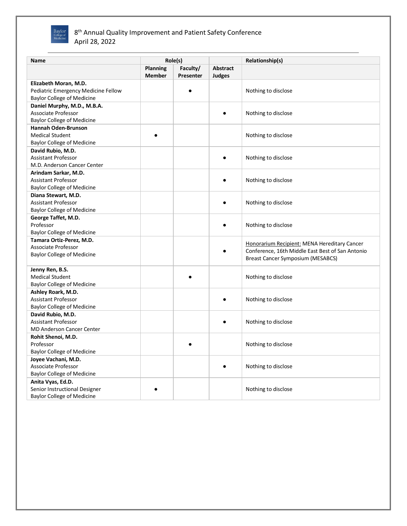

| Role(s)<br><b>Planning</b><br>Faculty/<br><b>Abstract</b><br><b>Member</b><br>Presenter<br>Judges<br>Elizabeth Moran, M.D.<br>Pediatric Emergency Medicine Fellow<br>Nothing to disclose<br><b>Baylor College of Medicine</b><br>Daniel Murphy, M.D., M.B.A.<br>Associate Professor<br>Nothing to disclose<br><b>Baylor College of Medicine</b><br><b>Hannah Oden-Brunson</b><br><b>Medical Student</b><br>Nothing to disclose<br><b>Baylor College of Medicine</b><br>David Rubio, M.D.<br><b>Assistant Professor</b><br>Nothing to disclose<br>M.D. Anderson Cancer Center<br>Arindam Sarkar, M.D.<br><b>Assistant Professor</b><br>Nothing to disclose<br><b>Baylor College of Medicine</b><br>Diana Stewart, M.D.<br><b>Assistant Professor</b><br>Nothing to disclose<br><b>Baylor College of Medicine</b><br>George Taffet, M.D.<br>Professor<br>Nothing to disclose<br><b>Baylor College of Medicine</b><br>Tamara Ortiz-Perez. M.D.<br>Honorarium Recipient: MENA Hereditary Cancer<br>Associate Professor<br>Conference, 16th Middle East Best of San Antonio<br><b>Baylor College of Medicine</b><br><b>Breast Cancer Symposium (MESABCS)</b><br>Jenny Ren, B.S.<br><b>Medical Student</b><br>Nothing to disclose<br><b>Baylor College of Medicine</b><br>Ashley Roark, M.D.<br><b>Assistant Professor</b><br>Nothing to disclose<br><b>Baylor College of Medicine</b><br>David Rubio, M.D.<br><b>Assistant Professor</b><br>Nothing to disclose<br><b>MD Anderson Cancer Center</b><br>Rohit Shenoi, M.D.<br>Professor<br>Nothing to disclose<br><b>Baylor College of Medicine</b><br>Joyee Vachani, M.D.<br>Associate Professor<br>Nothing to disclose<br><b>Baylor College of Medicine</b><br>Anita Vyas, Ed.D.<br>Senior Instructional Designer<br>Nothing to disclose | Name                              |  | Relationship(s) |
|--------------------------------------------------------------------------------------------------------------------------------------------------------------------------------------------------------------------------------------------------------------------------------------------------------------------------------------------------------------------------------------------------------------------------------------------------------------------------------------------------------------------------------------------------------------------------------------------------------------------------------------------------------------------------------------------------------------------------------------------------------------------------------------------------------------------------------------------------------------------------------------------------------------------------------------------------------------------------------------------------------------------------------------------------------------------------------------------------------------------------------------------------------------------------------------------------------------------------------------------------------------------------------------------------------------------------------------------------------------------------------------------------------------------------------------------------------------------------------------------------------------------------------------------------------------------------------------------------------------------------------------------------------------------------------------------------------------------------------------------------------------------------------------|-----------------------------------|--|-----------------|
|                                                                                                                                                                                                                                                                                                                                                                                                                                                                                                                                                                                                                                                                                                                                                                                                                                                                                                                                                                                                                                                                                                                                                                                                                                                                                                                                                                                                                                                                                                                                                                                                                                                                                                                                                                                      |                                   |  |                 |
|                                                                                                                                                                                                                                                                                                                                                                                                                                                                                                                                                                                                                                                                                                                                                                                                                                                                                                                                                                                                                                                                                                                                                                                                                                                                                                                                                                                                                                                                                                                                                                                                                                                                                                                                                                                      |                                   |  |                 |
|                                                                                                                                                                                                                                                                                                                                                                                                                                                                                                                                                                                                                                                                                                                                                                                                                                                                                                                                                                                                                                                                                                                                                                                                                                                                                                                                                                                                                                                                                                                                                                                                                                                                                                                                                                                      |                                   |  |                 |
|                                                                                                                                                                                                                                                                                                                                                                                                                                                                                                                                                                                                                                                                                                                                                                                                                                                                                                                                                                                                                                                                                                                                                                                                                                                                                                                                                                                                                                                                                                                                                                                                                                                                                                                                                                                      |                                   |  |                 |
|                                                                                                                                                                                                                                                                                                                                                                                                                                                                                                                                                                                                                                                                                                                                                                                                                                                                                                                                                                                                                                                                                                                                                                                                                                                                                                                                                                                                                                                                                                                                                                                                                                                                                                                                                                                      |                                   |  |                 |
|                                                                                                                                                                                                                                                                                                                                                                                                                                                                                                                                                                                                                                                                                                                                                                                                                                                                                                                                                                                                                                                                                                                                                                                                                                                                                                                                                                                                                                                                                                                                                                                                                                                                                                                                                                                      |                                   |  |                 |
|                                                                                                                                                                                                                                                                                                                                                                                                                                                                                                                                                                                                                                                                                                                                                                                                                                                                                                                                                                                                                                                                                                                                                                                                                                                                                                                                                                                                                                                                                                                                                                                                                                                                                                                                                                                      |                                   |  |                 |
|                                                                                                                                                                                                                                                                                                                                                                                                                                                                                                                                                                                                                                                                                                                                                                                                                                                                                                                                                                                                                                                                                                                                                                                                                                                                                                                                                                                                                                                                                                                                                                                                                                                                                                                                                                                      |                                   |  |                 |
|                                                                                                                                                                                                                                                                                                                                                                                                                                                                                                                                                                                                                                                                                                                                                                                                                                                                                                                                                                                                                                                                                                                                                                                                                                                                                                                                                                                                                                                                                                                                                                                                                                                                                                                                                                                      |                                   |  |                 |
|                                                                                                                                                                                                                                                                                                                                                                                                                                                                                                                                                                                                                                                                                                                                                                                                                                                                                                                                                                                                                                                                                                                                                                                                                                                                                                                                                                                                                                                                                                                                                                                                                                                                                                                                                                                      |                                   |  |                 |
|                                                                                                                                                                                                                                                                                                                                                                                                                                                                                                                                                                                                                                                                                                                                                                                                                                                                                                                                                                                                                                                                                                                                                                                                                                                                                                                                                                                                                                                                                                                                                                                                                                                                                                                                                                                      |                                   |  |                 |
|                                                                                                                                                                                                                                                                                                                                                                                                                                                                                                                                                                                                                                                                                                                                                                                                                                                                                                                                                                                                                                                                                                                                                                                                                                                                                                                                                                                                                                                                                                                                                                                                                                                                                                                                                                                      |                                   |  |                 |
|                                                                                                                                                                                                                                                                                                                                                                                                                                                                                                                                                                                                                                                                                                                                                                                                                                                                                                                                                                                                                                                                                                                                                                                                                                                                                                                                                                                                                                                                                                                                                                                                                                                                                                                                                                                      |                                   |  |                 |
|                                                                                                                                                                                                                                                                                                                                                                                                                                                                                                                                                                                                                                                                                                                                                                                                                                                                                                                                                                                                                                                                                                                                                                                                                                                                                                                                                                                                                                                                                                                                                                                                                                                                                                                                                                                      |                                   |  |                 |
|                                                                                                                                                                                                                                                                                                                                                                                                                                                                                                                                                                                                                                                                                                                                                                                                                                                                                                                                                                                                                                                                                                                                                                                                                                                                                                                                                                                                                                                                                                                                                                                                                                                                                                                                                                                      |                                   |  |                 |
|                                                                                                                                                                                                                                                                                                                                                                                                                                                                                                                                                                                                                                                                                                                                                                                                                                                                                                                                                                                                                                                                                                                                                                                                                                                                                                                                                                                                                                                                                                                                                                                                                                                                                                                                                                                      |                                   |  |                 |
|                                                                                                                                                                                                                                                                                                                                                                                                                                                                                                                                                                                                                                                                                                                                                                                                                                                                                                                                                                                                                                                                                                                                                                                                                                                                                                                                                                                                                                                                                                                                                                                                                                                                                                                                                                                      |                                   |  |                 |
|                                                                                                                                                                                                                                                                                                                                                                                                                                                                                                                                                                                                                                                                                                                                                                                                                                                                                                                                                                                                                                                                                                                                                                                                                                                                                                                                                                                                                                                                                                                                                                                                                                                                                                                                                                                      |                                   |  |                 |
|                                                                                                                                                                                                                                                                                                                                                                                                                                                                                                                                                                                                                                                                                                                                                                                                                                                                                                                                                                                                                                                                                                                                                                                                                                                                                                                                                                                                                                                                                                                                                                                                                                                                                                                                                                                      |                                   |  |                 |
|                                                                                                                                                                                                                                                                                                                                                                                                                                                                                                                                                                                                                                                                                                                                                                                                                                                                                                                                                                                                                                                                                                                                                                                                                                                                                                                                                                                                                                                                                                                                                                                                                                                                                                                                                                                      |                                   |  |                 |
|                                                                                                                                                                                                                                                                                                                                                                                                                                                                                                                                                                                                                                                                                                                                                                                                                                                                                                                                                                                                                                                                                                                                                                                                                                                                                                                                                                                                                                                                                                                                                                                                                                                                                                                                                                                      |                                   |  |                 |
|                                                                                                                                                                                                                                                                                                                                                                                                                                                                                                                                                                                                                                                                                                                                                                                                                                                                                                                                                                                                                                                                                                                                                                                                                                                                                                                                                                                                                                                                                                                                                                                                                                                                                                                                                                                      |                                   |  |                 |
|                                                                                                                                                                                                                                                                                                                                                                                                                                                                                                                                                                                                                                                                                                                                                                                                                                                                                                                                                                                                                                                                                                                                                                                                                                                                                                                                                                                                                                                                                                                                                                                                                                                                                                                                                                                      |                                   |  |                 |
|                                                                                                                                                                                                                                                                                                                                                                                                                                                                                                                                                                                                                                                                                                                                                                                                                                                                                                                                                                                                                                                                                                                                                                                                                                                                                                                                                                                                                                                                                                                                                                                                                                                                                                                                                                                      |                                   |  |                 |
|                                                                                                                                                                                                                                                                                                                                                                                                                                                                                                                                                                                                                                                                                                                                                                                                                                                                                                                                                                                                                                                                                                                                                                                                                                                                                                                                                                                                                                                                                                                                                                                                                                                                                                                                                                                      |                                   |  |                 |
|                                                                                                                                                                                                                                                                                                                                                                                                                                                                                                                                                                                                                                                                                                                                                                                                                                                                                                                                                                                                                                                                                                                                                                                                                                                                                                                                                                                                                                                                                                                                                                                                                                                                                                                                                                                      |                                   |  |                 |
|                                                                                                                                                                                                                                                                                                                                                                                                                                                                                                                                                                                                                                                                                                                                                                                                                                                                                                                                                                                                                                                                                                                                                                                                                                                                                                                                                                                                                                                                                                                                                                                                                                                                                                                                                                                      |                                   |  |                 |
|                                                                                                                                                                                                                                                                                                                                                                                                                                                                                                                                                                                                                                                                                                                                                                                                                                                                                                                                                                                                                                                                                                                                                                                                                                                                                                                                                                                                                                                                                                                                                                                                                                                                                                                                                                                      |                                   |  |                 |
|                                                                                                                                                                                                                                                                                                                                                                                                                                                                                                                                                                                                                                                                                                                                                                                                                                                                                                                                                                                                                                                                                                                                                                                                                                                                                                                                                                                                                                                                                                                                                                                                                                                                                                                                                                                      |                                   |  |                 |
|                                                                                                                                                                                                                                                                                                                                                                                                                                                                                                                                                                                                                                                                                                                                                                                                                                                                                                                                                                                                                                                                                                                                                                                                                                                                                                                                                                                                                                                                                                                                                                                                                                                                                                                                                                                      |                                   |  |                 |
|                                                                                                                                                                                                                                                                                                                                                                                                                                                                                                                                                                                                                                                                                                                                                                                                                                                                                                                                                                                                                                                                                                                                                                                                                                                                                                                                                                                                                                                                                                                                                                                                                                                                                                                                                                                      |                                   |  |                 |
|                                                                                                                                                                                                                                                                                                                                                                                                                                                                                                                                                                                                                                                                                                                                                                                                                                                                                                                                                                                                                                                                                                                                                                                                                                                                                                                                                                                                                                                                                                                                                                                                                                                                                                                                                                                      |                                   |  |                 |
|                                                                                                                                                                                                                                                                                                                                                                                                                                                                                                                                                                                                                                                                                                                                                                                                                                                                                                                                                                                                                                                                                                                                                                                                                                                                                                                                                                                                                                                                                                                                                                                                                                                                                                                                                                                      |                                   |  |                 |
|                                                                                                                                                                                                                                                                                                                                                                                                                                                                                                                                                                                                                                                                                                                                                                                                                                                                                                                                                                                                                                                                                                                                                                                                                                                                                                                                                                                                                                                                                                                                                                                                                                                                                                                                                                                      |                                   |  |                 |
|                                                                                                                                                                                                                                                                                                                                                                                                                                                                                                                                                                                                                                                                                                                                                                                                                                                                                                                                                                                                                                                                                                                                                                                                                                                                                                                                                                                                                                                                                                                                                                                                                                                                                                                                                                                      |                                   |  |                 |
|                                                                                                                                                                                                                                                                                                                                                                                                                                                                                                                                                                                                                                                                                                                                                                                                                                                                                                                                                                                                                                                                                                                                                                                                                                                                                                                                                                                                                                                                                                                                                                                                                                                                                                                                                                                      |                                   |  |                 |
|                                                                                                                                                                                                                                                                                                                                                                                                                                                                                                                                                                                                                                                                                                                                                                                                                                                                                                                                                                                                                                                                                                                                                                                                                                                                                                                                                                                                                                                                                                                                                                                                                                                                                                                                                                                      |                                   |  |                 |
|                                                                                                                                                                                                                                                                                                                                                                                                                                                                                                                                                                                                                                                                                                                                                                                                                                                                                                                                                                                                                                                                                                                                                                                                                                                                                                                                                                                                                                                                                                                                                                                                                                                                                                                                                                                      |                                   |  |                 |
|                                                                                                                                                                                                                                                                                                                                                                                                                                                                                                                                                                                                                                                                                                                                                                                                                                                                                                                                                                                                                                                                                                                                                                                                                                                                                                                                                                                                                                                                                                                                                                                                                                                                                                                                                                                      |                                   |  |                 |
|                                                                                                                                                                                                                                                                                                                                                                                                                                                                                                                                                                                                                                                                                                                                                                                                                                                                                                                                                                                                                                                                                                                                                                                                                                                                                                                                                                                                                                                                                                                                                                                                                                                                                                                                                                                      |                                   |  |                 |
|                                                                                                                                                                                                                                                                                                                                                                                                                                                                                                                                                                                                                                                                                                                                                                                                                                                                                                                                                                                                                                                                                                                                                                                                                                                                                                                                                                                                                                                                                                                                                                                                                                                                                                                                                                                      |                                   |  |                 |
|                                                                                                                                                                                                                                                                                                                                                                                                                                                                                                                                                                                                                                                                                                                                                                                                                                                                                                                                                                                                                                                                                                                                                                                                                                                                                                                                                                                                                                                                                                                                                                                                                                                                                                                                                                                      |                                   |  |                 |
|                                                                                                                                                                                                                                                                                                                                                                                                                                                                                                                                                                                                                                                                                                                                                                                                                                                                                                                                                                                                                                                                                                                                                                                                                                                                                                                                                                                                                                                                                                                                                                                                                                                                                                                                                                                      |                                   |  |                 |
|                                                                                                                                                                                                                                                                                                                                                                                                                                                                                                                                                                                                                                                                                                                                                                                                                                                                                                                                                                                                                                                                                                                                                                                                                                                                                                                                                                                                                                                                                                                                                                                                                                                                                                                                                                                      | <b>Baylor College of Medicine</b> |  |                 |